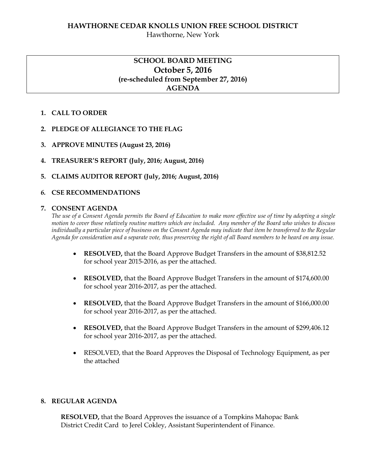## **HAWTHORNE CEDAR KNOLLS UNION FREE SCHOOL DISTRICT** Hawthorne, New York

# **SCHOOL BOARD MEETING October 5, 2016 (re-scheduled from September 27, 2016) AGENDA**

## **1. CALL TO ORDER**

## **2. PLEDGE OF ALLEGIANCE TO THE FLAG**

- **3. APPROVE MINUTES (August 23, 2016)**
- **4. TREASURER'S REPORT (July, 2016; August, 2016)**

### **5. CLAIMS AUDITOR REPORT (July, 2016; August, 2016)**

## *6.* **CSE RECOMMENDATIONS**

#### **7. CONSENT AGENDA**

*The use of a Consent Agenda permits the Board of Education to make more effective use of time by adopting a single motion to cover those relatively routine matters which are included. Any member of the Board who wishes to discuss individually a particular piece of business on the Consent Agenda may indicate that item be transferred to the Regular Agenda for consideration and a separate vote, thus preserving the right of all Board members to be heard on any issue.* 

- **RESOLVED,** that the Board Approve Budget Transfers in the amount of \$38,812.52 for school year 2015-2016, as per the attached.
- **RESOLVED,** that the Board Approve Budget Transfers in the amount of \$174,600.00 for school year 2016-2017, as per the attached.
- **RESOLVED,** that the Board Approve Budget Transfers in the amount of \$166,000.00 for school year 2016-2017, as per the attached.
- **RESOLVED,** that the Board Approve Budget Transfers in the amount of \$299,406.12 for school year 2016-2017, as per the attached.
- RESOLVED, that the Board Approves the Disposal of Technology Equipment, as per the attached

### **8. REGULAR AGENDA**

**RESOLVED,** that the Board Approves the issuance of a Tompkins Mahopac Bank District Credit Card to Jerel Cokley, Assistant Superintendent of Finance.